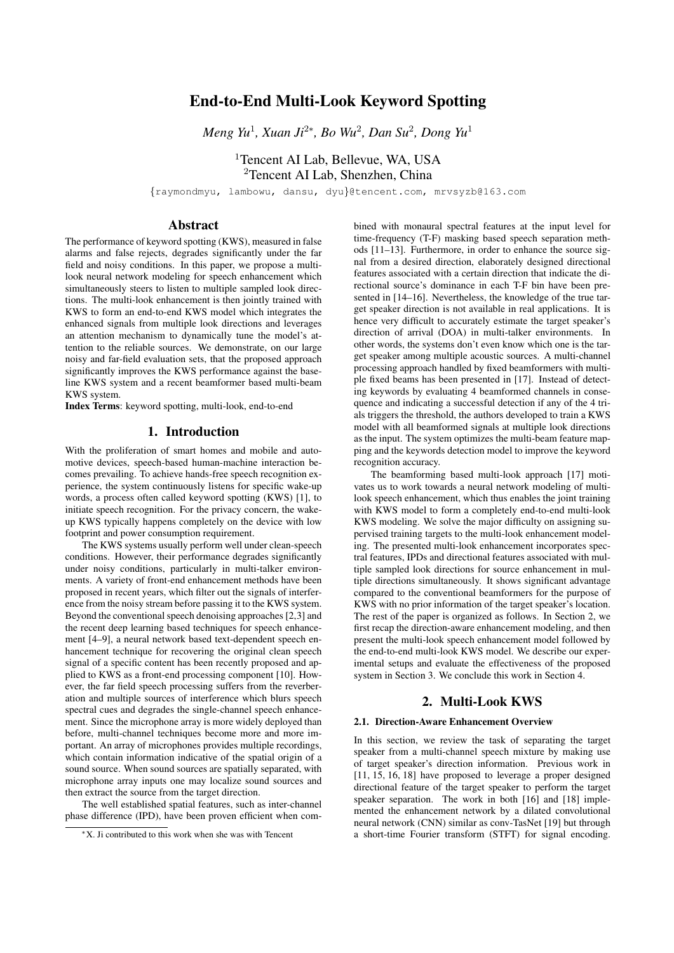# End-to-End Multi-Look Keyword Spotting

*Meng Yu<sup>1</sup>, Xuan Ji<sup>2∗</sup>, Bo Wu<sup>2</sup>, Dan Su<sup>2</sup>, Dong Yu<sup>1</sup>* 

<sup>1</sup>Tencent AI Lab, Bellevue, WA, USA <sup>2</sup>Tencent AI Lab, Shenzhen, China

{raymondmyu, lambowu, dansu, dyu}@tencent.com, mrvsyzb@163.com

# Abstract

The performance of keyword spotting (KWS), measured in false alarms and false rejects, degrades significantly under the far field and noisy conditions. In this paper, we propose a multilook neural network modeling for speech enhancement which simultaneously steers to listen to multiple sampled look directions. The multi-look enhancement is then jointly trained with KWS to form an end-to-end KWS model which integrates the enhanced signals from multiple look directions and leverages an attention mechanism to dynamically tune the model's attention to the reliable sources. We demonstrate, on our large noisy and far-field evaluation sets, that the proposed approach significantly improves the KWS performance against the baseline KWS system and a recent beamformer based multi-beam KWS system.

Index Terms: keyword spotting, multi-look, end-to-end

# 1. Introduction

With the proliferation of smart homes and mobile and automotive devices, speech-based human-machine interaction becomes prevailing. To achieve hands-free speech recognition experience, the system continuously listens for specific wake-up words, a process often called keyword spotting (KWS) [1], to initiate speech recognition. For the privacy concern, the wakeup KWS typically happens completely on the device with low footprint and power consumption requirement.

The KWS systems usually perform well under clean-speech conditions. However, their performance degrades significantly under noisy conditions, particularly in multi-talker environments. A variety of front-end enhancement methods have been proposed in recent years, which filter out the signals of interference from the noisy stream before passing it to the KWS system. Beyond the conventional speech denoising approaches [2,3] and the recent deep learning based techniques for speech enhancement [4–9], a neural network based text-dependent speech enhancement technique for recovering the original clean speech signal of a specific content has been recently proposed and applied to KWS as a front-end processing component [10]. However, the far field speech processing suffers from the reverberation and multiple sources of interference which blurs speech spectral cues and degrades the single-channel speech enhancement. Since the microphone array is more widely deployed than before, multi-channel techniques become more and more important. An array of microphones provides multiple recordings, which contain information indicative of the spatial origin of a sound source. When sound sources are spatially separated, with microphone array inputs one may localize sound sources and then extract the source from the target direction.

The well established spatial features, such as inter-channel phase difference (IPD), have been proven efficient when combined with monaural spectral features at the input level for time-frequency (T-F) masking based speech separation methods [11–13]. Furthermore, in order to enhance the source signal from a desired direction, elaborately designed directional features associated with a certain direction that indicate the directional source's dominance in each T-F bin have been presented in [14–16]. Nevertheless, the knowledge of the true target speaker direction is not available in real applications. It is hence very difficult to accurately estimate the target speaker's direction of arrival (DOA) in multi-talker environments. In other words, the systems don't even know which one is the target speaker among multiple acoustic sources. A multi-channel processing approach handled by fixed beamformers with multiple fixed beams has been presented in [17]. Instead of detecting keywords by evaluating 4 beamformed channels in consequence and indicating a successful detection if any of the 4 trials triggers the threshold, the authors developed to train a KWS model with all beamformed signals at multiple look directions as the input. The system optimizes the multi-beam feature mapping and the keywords detection model to improve the keyword recognition accuracy.

The beamforming based multi-look approach [17] motivates us to work towards a neural network modeling of multilook speech enhancement, which thus enables the joint training with KWS model to form a completely end-to-end multi-look KWS modeling. We solve the major difficulty on assigning supervised training targets to the multi-look enhancement modeling. The presented multi-look enhancement incorporates spectral features, IPDs and directional features associated with multiple sampled look directions for source enhancement in multiple directions simultaneously. It shows significant advantage compared to the conventional beamformers for the purpose of KWS with no prior information of the target speaker's location. The rest of the paper is organized as follows. In Section 2, we first recap the direction-aware enhancement modeling, and then present the multi-look speech enhancement model followed by the end-to-end multi-look KWS model. We describe our experimental setups and evaluate the effectiveness of the proposed system in Section 3. We conclude this work in Section 4.

# 2. Multi-Look KWS

#### 2.1. Direction-Aware Enhancement Overview

In this section, we review the task of separating the target speaker from a multi-channel speech mixture by making use of target speaker's direction information. Previous work in [11, 15, 16, 18] have proposed to leverage a proper designed directional feature of the target speaker to perform the target speaker separation. The work in both [16] and [18] implemented the enhancement network by a dilated convolutional neural network (CNN) similar as conv-TasNet [19] but through a short-time Fourier transform (STFT) for signal encoding.

<sup>∗</sup>X. Ji contributed to this work when she was with Tencent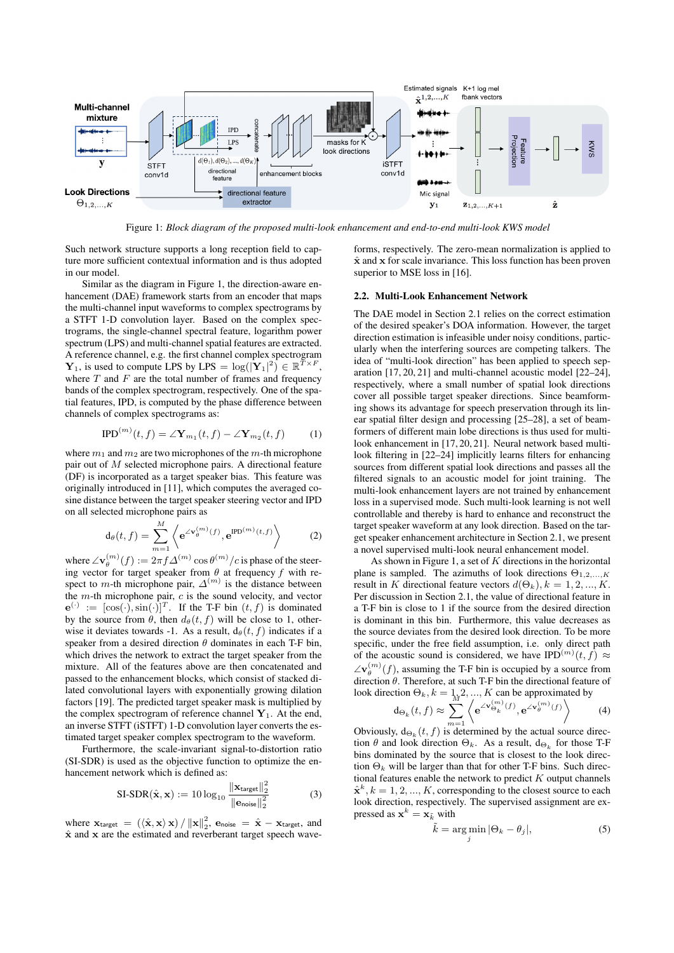

Figure 1: *Block diagram of the proposed multi-look enhancement and end-to-end multi-look KWS model*

Such network structure supports a long reception field to capture more sufficient contextual information and is thus adopted in our model.

Similar as the diagram in Figure 1, the direction-aware enhancement (DAE) framework starts from an encoder that maps the multi-channel input waveforms to complex spectrograms by a STFT 1-D convolution layer. Based on the complex spectrograms, the single-channel spectral feature, logarithm power spectrum (LPS) and multi-channel spatial features are extracted. A reference channel, e.g. the first channel complex spectrogram  $\mathbf{Y}_1$ , is used to compute LPS by LPS =  $\log(|\mathbf{Y}_1|^2) \in \mathbb{R}^{\bar{T} \times F}$ , where  $T$  and  $F$  are the total number of frames and frequency bands of the complex spectrogram, respectively. One of the spatial features, IPD, is computed by the phase difference between channels of complex spectrograms as:

$$
\text{IPD}^{(m)}(t,f) = \angle \mathbf{Y}_{m_1}(t,f) - \angle \mathbf{Y}_{m_2}(t,f) \tag{1}
$$

where  $m_1$  and  $m_2$  are two microphones of the m-th microphone pair out of  $M$  selected microphone pairs. A directional feature (DF) is incorporated as a target speaker bias. This feature was originally introduced in [11], which computes the averaged cosine distance between the target speaker steering vector and IPD on all selected microphone pairs as

$$
\mathrm{d}_{\theta}(t,f) = \sum_{m=1}^{M} \left\langle e^{\angle \mathbf{v}_{\theta}^{(m)}(f)}, e^{\mathrm{IPD}^{(m)}(t,f)} \right\rangle \tag{2}
$$

where  $\angle \mathbf{v}_{\theta}^{(m)}(f) := 2\pi f \Delta^{(m)} \cos \theta^{(m)}/c$  is phase of the steering vector for target speaker from  $\theta$  at frequency  $f$  with respect to *m*-th microphone pair,  $\Delta^{(m)}$  is the distance between the  $m$ -th microphone pair,  $c$  is the sound velocity, and vector  $\mathbf{e}^{(\cdot)} := [\cos(\cdot), \sin(\cdot)]^T$ . If the T-F bin  $(t, f)$  is dominated by the source from  $\theta$ , then  $d_{\theta}(t, f)$  will be close to 1, otherwise it deviates towards -1. As a result,  $d_{\theta}(t, f)$  indicates if a speaker from a desired direction  $\theta$  dominates in each T-F bin, which drives the network to extract the target speaker from the mixture. All of the features above are then concatenated and passed to the enhancement blocks, which consist of stacked dilated convolutional layers with exponentially growing dilation factors [19]. The predicted target speaker mask is multiplied by the complex spectrogram of reference channel  $Y_1$ . At the end, an inverse STFT (iSTFT) 1-D convolution layer converts the estimated target speaker complex spectrogram to the waveform.

Furthermore, the scale-invariant signal-to-distortion ratio (SI-SDR) is used as the objective function to optimize the enhancement network which is defined as:

$$
\text{SI-SDR}(\hat{\mathbf{x}}, \mathbf{x}) := 10 \log_{10} \frac{\|\mathbf{x}_{\text{target}}\|_2^2}{\|\mathbf{e}_{\text{noise}}\|_2^2}
$$
(3)

where  $\mathbf{x}_{\text{target}} = (\langle \hat{\mathbf{x}}, \mathbf{x} \rangle \mathbf{x}) / ||\mathbf{x}||_2^2$ ,  $\mathbf{e}_{\text{noise}} = \hat{\mathbf{x}} - \mathbf{x}_{\text{target}}$ , and  $\hat{x}$  and  $x$  are the estimated and reverberant target speech waveforms, respectively. The zero-mean normalization is applied to  $\hat{\mathbf{x}}$  and  $\mathbf{x}$  for scale invariance. This loss function has been proven superior to MSE loss in [16].

### 2.2. Multi-Look Enhancement Network

The DAE model in Section 2.1 relies on the correct estimation of the desired speaker's DOA information. However, the target direction estimation is infeasible under noisy conditions, particularly when the interfering sources are competing talkers. The idea of "multi-look direction" has been applied to speech separation [17, 20, 21] and multi-channel acoustic model [22–24], respectively, where a small number of spatial look directions cover all possible target speaker directions. Since beamforming shows its advantage for speech preservation through its linear spatial filter design and processing [25–28], a set of beamformers of different main lobe directions is thus used for multilook enhancement in [17, 20, 21]. Neural network based multilook filtering in [22–24] implicitly learns filters for enhancing sources from different spatial look directions and passes all the filtered signals to an acoustic model for joint training. The multi-look enhancement layers are not trained by enhancement loss in a supervised mode. Such multi-look learning is not well controllable and thereby is hard to enhance and reconstruct the target speaker waveform at any look direction. Based on the target speaker enhancement architecture in Section 2.1, we present a novel supervised multi-look neural enhancement model.

As shown in Figure 1, a set of  $K$  directions in the horizontal plane is sampled. The azimuths of look directions  $\Theta_{1,2,...,K}$ result in K directional feature vectors  $d(\Theta_k)$ ,  $k = 1, 2, ..., K$ . Per discussion in Section 2.1, the value of directional feature in a T-F bin is close to 1 if the source from the desired direction is dominant in this bin. Furthermore, this value decreases as the source deviates from the desired look direction. To be more specific, under the free field assumption, i.e. only direct path of the acoustic sound is considered, we have IPD<sup>(m)</sup>(t, f)  $\approx$  $\angle v_{\theta}^{(m)}(f)$ , assuming the T-F bin is occupied by a source from direction  $\theta$ . Therefore, at such T-F bin the directional feature of

look direction 
$$
\Theta_k
$$
,  $k = 1, 2, ..., K$  can be approximated by  
\n
$$
\operatorname{d}_{\Theta_k}(t, f) \approx \sum_{m=1}^{M} \left\langle e^{\angle \mathbf{v}_{\Theta_k}^{(m)}(f)}, e^{\angle \mathbf{v}_{\theta}^{(m)}(f)} \right\rangle \tag{4}
$$

Obviously,  $d_{\Theta_k}(t, f)$  is determined by the actual source direction  $\theta$  and look direction  $\Theta_k$ . As a result,  $d_{\Theta_k}$  for those T-F bins dominated by the source that is closest to the look direction  $\Theta_k$  will be larger than that for other T-F bins. Such directional features enable the network to predict  $K$  output channels  $\hat{\mathbf{x}}^k, k = 1, 2, ..., K$ , corresponding to the closest source to each look direction, respectively. The supervised assignment are expressed as  $\mathbf{x}^k = \mathbf{x}_{\tilde{k}}$  with

$$
\tilde{k} = \underset{j}{\arg \min} |\Theta_k - \theta_j|,\tag{5}
$$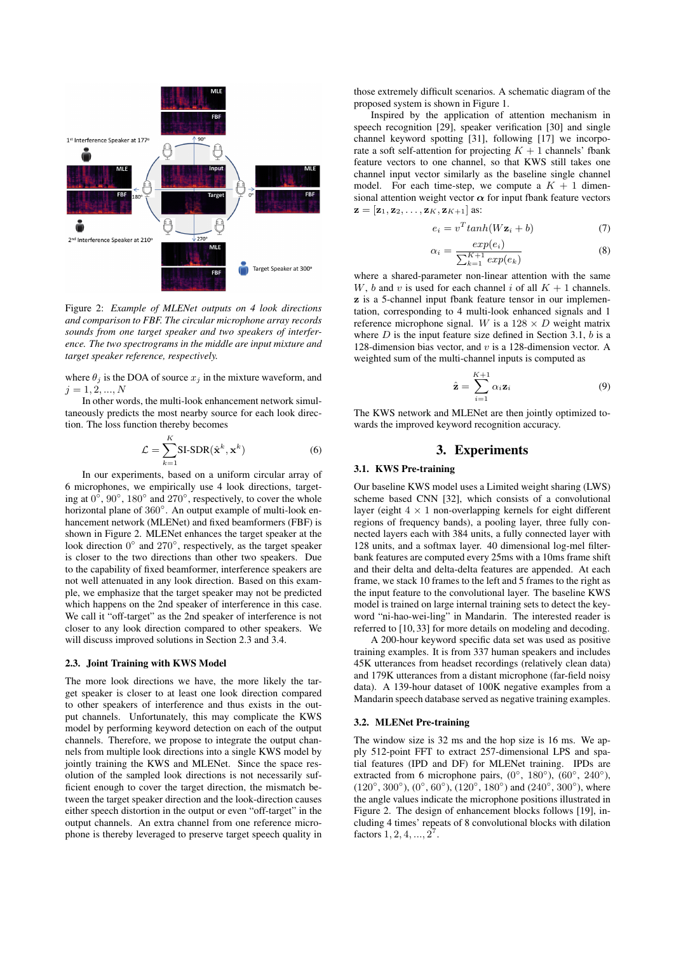

Figure 2: *Example of MLENet outputs on 4 look directions and comparison to FBF. The circular microphone array records sounds from one target speaker and two speakers of interference. The two spectrograms in the middle are input mixture and target speaker reference, respectively.*

where  $\theta_i$  is the DOA of source  $x_i$  in the mixture waveform, and  $j = 1, 2, ..., N$ 

In other words, the multi-look enhancement network simultaneously predicts the most nearby source for each look direction. The loss function thereby becomes

$$
\mathcal{L} = \sum_{k=1}^{K} \text{SI-SDR}(\hat{\mathbf{x}}^k, \mathbf{x}^k)
$$
 (6)

In our experiments, based on a uniform circular array of 6 microphones, we empirically use 4 look directions, targeting at  $0^\circ$ ,  $90^\circ$ ,  $180^\circ$  and  $270^\circ$ , respectively, to cover the whole horizontal plane of 360°. An output example of multi-look enhancement network (MLENet) and fixed beamformers (FBF) is shown in Figure 2. MLENet enhances the target speaker at the look direction 0° and 270°, respectively, as the target speaker is closer to the two directions than other two speakers. Due to the capability of fixed beamformer, interference speakers are not well attenuated in any look direction. Based on this example, we emphasize that the target speaker may not be predicted which happens on the 2nd speaker of interference in this case. We call it "off-target" as the 2nd speaker of interference is not closer to any look direction compared to other speakers. We will discuss improved solutions in Section 2.3 and 3.4.

## 2.3. Joint Training with KWS Model

The more look directions we have, the more likely the target speaker is closer to at least one look direction compared to other speakers of interference and thus exists in the output channels. Unfortunately, this may complicate the KWS model by performing keyword detection on each of the output channels. Therefore, we propose to integrate the output channels from multiple look directions into a single KWS model by jointly training the KWS and MLENet. Since the space resolution of the sampled look directions is not necessarily sufficient enough to cover the target direction, the mismatch between the target speaker direction and the look-direction causes either speech distortion in the output or even "off-target" in the output channels. An extra channel from one reference microphone is thereby leveraged to preserve target speech quality in

those extremely difficult scenarios. A schematic diagram of the proposed system is shown in Figure 1.

Inspired by the application of attention mechanism in speech recognition [29], speaker verification [30] and single channel keyword spotting [31], following [17] we incorporate a soft self-attention for projecting  $K + 1$  channels' fbank feature vectors to one channel, so that KWS still takes one channel input vector similarly as the baseline single channel model. For each time-step, we compute a  $K + 1$  dimensional attention weight vector  $\alpha$  for input fbank feature vectors  $\mathbf{z} = [\mathbf{z}_1, \mathbf{z}_2, \dots, \mathbf{z}_K, \mathbf{z}_{K+1}]$  as:

$$
e_i = v^T \tanh(W\mathbf{z}_i + b) \tag{7}
$$

$$
\alpha_i = \frac{exp(e_i)}{\sum_{k=1}^{K+1} exp(e_k)}
$$
(8)

where a shared-parameter non-linear attention with the same W, b and v is used for each channel i of all  $K + 1$  channels. z is a 5-channel input fbank feature tensor in our implementation, corresponding to 4 multi-look enhanced signals and 1 reference microphone signal. W is a  $128 \times D$  weight matrix where  $D$  is the input feature size defined in Section 3.1,  $b$  is a 128-dimension bias vector, and  $v$  is a 128-dimension vector. A weighted sum of the multi-channel inputs is computed as

$$
\hat{\mathbf{z}} = \sum_{i=1}^{K+1} \alpha_i \mathbf{z}_i \tag{9}
$$

The KWS network and MLENet are then jointly optimized towards the improved keyword recognition accuracy.

# 3. Experiments

### 3.1. KWS Pre-training

Our baseline KWS model uses a Limited weight sharing (LWS) scheme based CNN [32], which consists of a convolutional layer (eight  $4 \times 1$  non-overlapping kernels for eight different regions of frequency bands), a pooling layer, three fully connected layers each with 384 units, a fully connected layer with 128 units, and a softmax layer. 40 dimensional log-mel filterbank features are computed every 25ms with a 10ms frame shift and their delta and delta-delta features are appended. At each frame, we stack 10 frames to the left and 5 frames to the right as the input feature to the convolutional layer. The baseline KWS model is trained on large internal training sets to detect the keyword "ni-hao-wei-ling" in Mandarin. The interested reader is referred to [10, 33] for more details on modeling and decoding.

A 200-hour keyword specific data set was used as positive training examples. It is from 337 human speakers and includes 45K utterances from headset recordings (relatively clean data) and 179K utterances from a distant microphone (far-field noisy data). A 139-hour dataset of 100K negative examples from a Mandarin speech database served as negative training examples.

### 3.2. MLENet Pre-training

The window size is 32 ms and the hop size is 16 ms. We apply 512-point FFT to extract 257-dimensional LPS and spatial features (IPD and DF) for MLENet training. IPDs are extracted from 6 microphone pairs,  $(0^{\circ}, 180^{\circ})$ ,  $(60^{\circ}, 240^{\circ})$ ,  $(120°, 300°), (0°, 60°), (120°, 180°)$  and  $(240°, 300°)$ , where the angle values indicate the microphone positions illustrated in Figure 2. The design of enhancement blocks follows [19], including 4 times' repeats of 8 convolutional blocks with dilation factors  $1, 2, 4, ..., 2^7$ .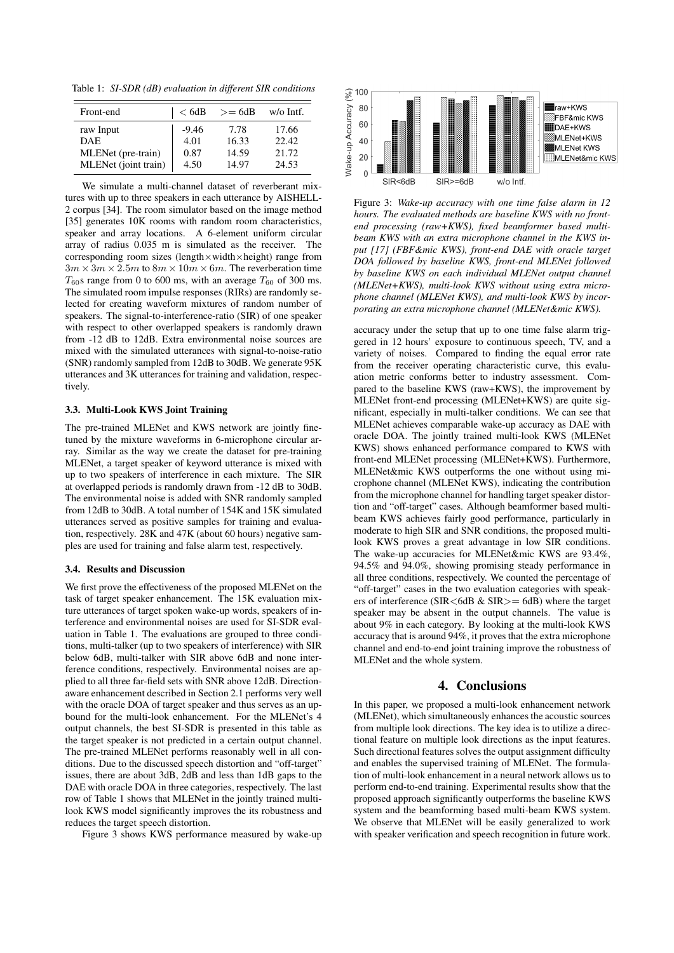Table 1: *SI-SDR (dB) evaluation in different SIR conditions*

| Front-end            | < 6dB   | $>= 6dB$ | $w/o$ Intf. |
|----------------------|---------|----------|-------------|
| raw Input            | $-9.46$ | 7.78     | 17.66       |
| DAE.                 | 4.01    | 16.33    | 22.42       |
| MLENet (pre-train)   | 0.87    | 14.59    | 21.72       |
| MLENet (joint train) | 4.50    | 14.97    | 24.53       |

We simulate a multi-channel dataset of reverberant mixtures with up to three speakers in each utterance by AISHELL-2 corpus [34]. The room simulator based on the image method [35] generates  $10K$  rooms with random room characteristics, speaker and array locations. A 6-element uniform circular array of radius 0.035 m is simulated as the receiver. The corresponding room sizes (length×width×height) range from  $3m \times 3m \times 2.5m$  to  $8m \times 10m \times 6m$ . The reverberation time  $T_{60}$ s range from 0 to 600 ms, with an average  $T_{60}$  of 300 ms. The simulated room impulse responses (RIRs) are randomly selected for creating waveform mixtures of random number of speakers. The signal-to-interference-ratio (SIR) of one speaker with respect to other overlapped speakers is randomly drawn from -12 dB to 12dB. Extra environmental noise sources are mixed with the simulated utterances with signal-to-noise-ratio (SNR) randomly sampled from 12dB to 30dB. We generate 95K utterances and 3K utterances for training and validation, respectively.

### 3.3. Multi-Look KWS Joint Training

The pre-trained MLENet and KWS network are jointly finetuned by the mixture waveforms in 6-microphone circular array. Similar as the way we create the dataset for pre-training MLENet, a target speaker of keyword utterance is mixed with up to two speakers of interference in each mixture. The SIR at overlapped periods is randomly drawn from -12 dB to 30dB. The environmental noise is added with SNR randomly sampled from 12dB to 30dB. A total number of 154K and 15K simulated utterances served as positive samples for training and evaluation, respectively. 28K and 47K (about 60 hours) negative samples are used for training and false alarm test, respectively.

### 3.4. Results and Discussion

We first prove the effectiveness of the proposed MLENet on the task of target speaker enhancement. The 15K evaluation mixture utterances of target spoken wake-up words, speakers of interference and environmental noises are used for SI-SDR evaluation in Table 1. The evaluations are grouped to three conditions, multi-talker (up to two speakers of interference) with SIR below 6dB, multi-talker with SIR above 6dB and none interference conditions, respectively. Environmental noises are applied to all three far-field sets with SNR above 12dB. Directionaware enhancement described in Section 2.1 performs very well with the oracle DOA of target speaker and thus serves as an upbound for the multi-look enhancement. For the MLENet's 4 output channels, the best SI-SDR is presented in this table as the target speaker is not predicted in a certain output channel. The pre-trained MLENet performs reasonably well in all conditions. Due to the discussed speech distortion and "off-target" issues, there are about 3dB, 2dB and less than 1dB gaps to the DAE with oracle DOA in three categories, respectively. The last row of Table 1 shows that MLENet in the jointly trained multilook KWS model significantly improves the its robustness and reduces the target speech distortion.

Figure 3 shows KWS performance measured by wake-up



Figure 3: *Wake-up accuracy with one time false alarm in 12 hours. The evaluated methods are baseline KWS with no frontend processing (raw+KWS), fixed beamformer based multibeam KWS with an extra microphone channel in the KWS input [17] (FBF&mic KWS), front-end DAE with oracle target DOA followed by baseline KWS, front-end MLENet followed by baseline KWS on each individual MLENet output channel (MLENet+KWS), multi-look KWS without using extra microphone channel (MLENet KWS), and multi-look KWS by incorporating an extra microphone channel (MLENet&mic KWS).*

accuracy under the setup that up to one time false alarm triggered in 12 hours' exposure to continuous speech, TV, and a variety of noises. Compared to finding the equal error rate from the receiver operating characteristic curve, this evaluation metric conforms better to industry assessment. Compared to the baseline KWS (raw+KWS), the improvement by MLENet front-end processing (MLENet+KWS) are quite significant, especially in multi-talker conditions. We can see that MLENet achieves comparable wake-up accuracy as DAE with oracle DOA. The jointly trained multi-look KWS (MLENet KWS) shows enhanced performance compared to KWS with front-end MLENet processing (MLENet+KWS). Furthermore, MLENet&mic KWS outperforms the one without using microphone channel (MLENet KWS), indicating the contribution from the microphone channel for handling target speaker distortion and "off-target" cases. Although beamformer based multibeam KWS achieves fairly good performance, particularly in moderate to high SIR and SNR conditions, the proposed multilook KWS proves a great advantage in low SIR conditions. The wake-up accuracies for MLENet&mic KWS are 93.4%, 94.5% and 94.0%, showing promising steady performance in all three conditions, respectively. We counted the percentage of "off-target" cases in the two evaluation categories with speakers of interference (SIR<6dB & SIR>= 6dB) where the target speaker may be absent in the output channels. The value is about 9% in each category. By looking at the multi-look KWS accuracy that is around 94%, it proves that the extra microphone channel and end-to-end joint training improve the robustness of MLENet and the whole system.

### 4. Conclusions

In this paper, we proposed a multi-look enhancement network (MLENet), which simultaneously enhances the acoustic sources from multiple look directions. The key idea is to utilize a directional feature on multiple look directions as the input features. Such directional features solves the output assignment difficulty and enables the supervised training of MLENet. The formulation of multi-look enhancement in a neural network allows us to perform end-to-end training. Experimental results show that the proposed approach significantly outperforms the baseline KWS system and the beamforming based multi-beam KWS system. We observe that MLENet will be easily generalized to work with speaker verification and speech recognition in future work.